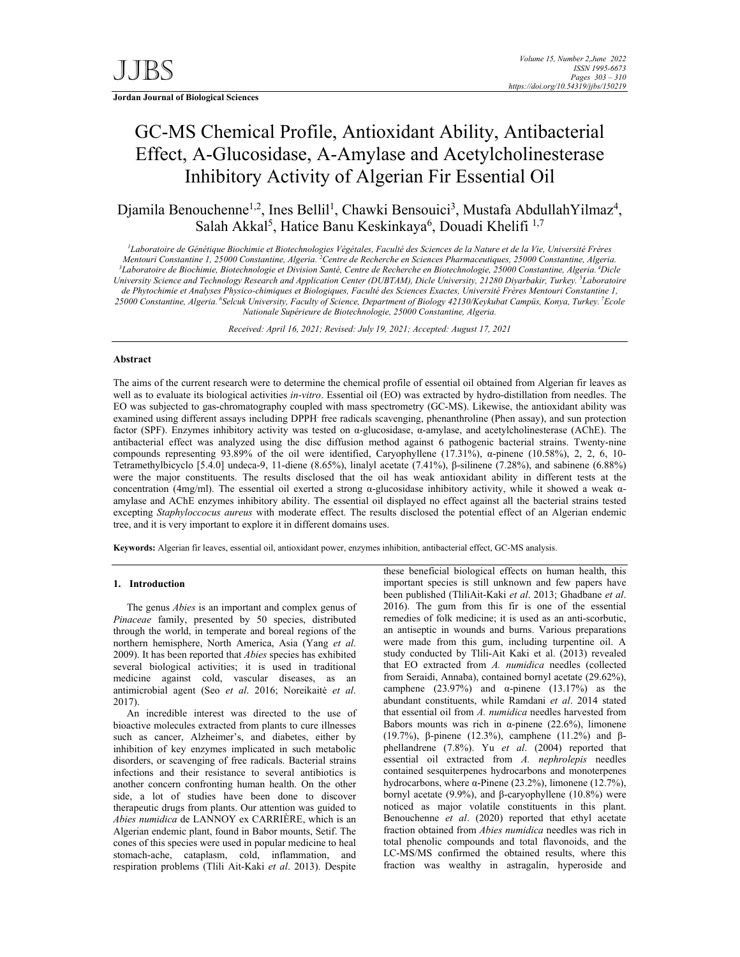**Jordan Journal of Biological Sciences** 

# GC-MS Chemical Profile, Antioxidant Ability, Antibacterial Effect, Α-Glucosidase, Α-Amylase and Acetylcholinesterase Inhibitory Activity of Algerian Fir Essential Oil

Djamila Benouchenne<sup>1,2</sup>, Ines Bellil<sup>1</sup>, Chawki Bensouici<sup>3</sup>, Mustafa AbdullahYilmaz<sup>4</sup>, Salah Akkal<sup>5</sup>, Hatice Banu Keskinkaya<sup>6</sup>, Douadi Khelifi<sup>1,7</sup>

<sup>1</sup>Laboratoire de Génétique Biochimie et Biotechnologies Végétales, Faculté des Sciences de la Nature et de la Vie, Université Frères *Mentouri Constantine 1, 25000 Constantine, Algeria. <sup>2</sup>Centre de Recherche en Sciences Pharmaceutiques, 25000 Constantine, Algeria.<br><sup>3</sup>Laboratoire de Biochimie, Biotechnologie et Division Santé, Centre de Recherche en Bio Laboratoire de Biochimie, Biotechnologie et Division Santé, Centre de Recherche en Biotechnologie, 25000 Constantine, Algeria. 4Dicle University Science and Technology Research and Application Center (DUBTAM), Dicle University, 21280 Diyarbakir, Turkey. 5 Laboratoire de Phytochimie et Analyses Physico-chimiques et Biologiques, Faculté des Sciences Exactes, Université Frères Mentouri Constantine 1, 25000 Constantine, Algeria. 6Selcuk University, Faculty of Science, Department of Biology 42130/Keykubat Campüs, Konya, Turkey. 7Ecole Nationale Supérieure de Biotechnologie, 25000 Constantine, Algeria.*

*Received: April 16, 2021; Revised: July 19, 2021; Accepted: August 17, 2021* 

## **Abstract**

The aims of the current research were to determine the chemical profile of essential oil obtained from Algerian fir leaves as well as to evaluate its biological activities *in-vitro*. Essential oil (EO) was extracted by hydro-distillation from needles. The EO was subjected to gas-chromatography coupled with mass spectrometry (GC-MS). Likewise, the antioxidant ability was examined using different assays including DPPH. free radicals scavenging, phenanthroline (Phen assay), and sun protection factor (SPF). Enzymes inhibitory activity was tested on α-glucosidase, α-amylase, and acetylcholinesterase (AChE). The antibacterial effect was analyzed using the disc diffusion method against 6 pathogenic bacterial strains. Twenty-nine compounds representing 93.89% of the oil were identified, Caryophyllene (17.31%), α-pinene (10.58%), 2, 2, 6, 10- Tetramethylbicyclo [5.4.0] undeca-9, 11-diene (8.65%), linalyl acetate (7.41%), β-silinene (7.28%), and sabinene (6.88%) were the major constituents. The results disclosed that the oil has weak antioxidant ability in different tests at the concentration (4mg/ml). The essential oil exerted a strong α-glucosidase inhibitory activity, while it showed a weak αamylase and AChE enzymes inhibitory ability. The essential oil displayed no effect against all the bacterial strains tested excepting *Staphyloccocus aureus* with moderate effect. The results disclosed the potential effect of an Algerian endemic tree, and it is very important to explore it in different domains uses.

**Keywords:** Algerian fir leaves, essential oil, antioxidant power, enzymes inhibition, antibacterial effect, GC-MS analysis.

## **1. Introduction**

The genus *Abies* is an important and complex genus of *Pinaceae* family, presented by 50 species, distributed through the world, in temperate and boreal regions of the northern hemisphere, North America, Asia (Yang *et al*. 2009). It has been reported that *Abies* species has exhibited several biological activities; it is used in traditional medicine against cold, vascular diseases, as an antimicrobial agent (Seo *et al*. 2016; Noreikaitė *et al*. 2017).

An incredible interest was directed to the use of bioactive molecules extracted from plants to cure illnesses such as cancer, Alzheimer's, and diabetes, either by inhibition of key enzymes implicated in such metabolic disorders, or scavenging of free radicals. Bacterial strains infections and their resistance to several antibiotics is another concern confronting human health. On the other side, a lot of studies have been done to discover therapeutic drugs from plants. Our attention was guided to *Abies numidica* de LANNOY ex CARRIÈRE, which is an Algerian endemic plant, found in Babor mounts, Setif. The cones of this species were used in popular medicine to heal stomach-ache, cataplasm, cold, inflammation, and respiration problems (Tlili Ait-Kaki *et al*. 2013). Despite

these beneficial biological effects on human health, this important species is still unknown and few papers have been published (TliliAit-Kaki *et al*. 2013; Ghadbane *et al*. 2016). The gum from this fir is one of the essential remedies of folk medicine; it is used as an anti-scorbutic, an antiseptic in wounds and burns. Various preparations were made from this gum, including turpentine oil. A study conducted by Tlili-Ait Kaki et al. (2013) revealed that EO extracted from *A. numidica* needles (collected from Seraidi, Annaba), contained bornyl acetate (29.62%), camphene (23.97%) and  $\alpha$ -pinene (13.17%) as the abundant constituents, while Ramdani *et al*. 2014 stated that essential oil from *A. numidica* needles harvested from Babors mounts was rich in  $\alpha$ -pinene (22.6%), limonene (19.7%), β-pinene (12.3%), camphene (11.2%) and βphellandrene (7.8%). Yu *et al*. (2004) reported that essential oil extracted from *A. nephrolepis* needles contained sesquiterpenes hydrocarbons and monoterpenes hydrocarbons, where α-Pinene (23.2%), limonene (12.7%), bornyl acetate (9.9%), and β-caryophyllene (10.8%) were noticed as major volatile constituents in this plant. Benouchenne *et al*. (2020) reported that ethyl acetate fraction obtained from *Abies numidica* needles was rich in total phenolic compounds and total flavonoids, and the LC-MS/MS confirmed the obtained results, where this fraction was wealthy in astragalin, hyperoside and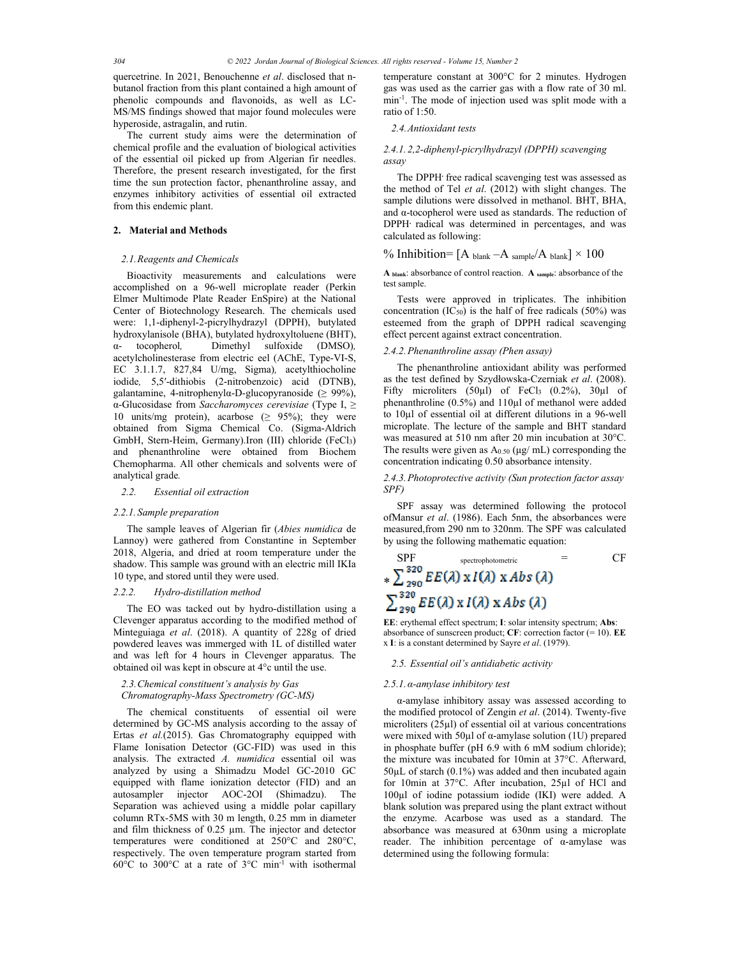quercetrine. In 2021, Benouchenne *et al*. disclosed that nbutanol fraction from this plant contained a high amount of phenolic compounds and flavonoids, as well as LC-MS/MS findings showed that major found molecules were hyperoside, astragalin, and rutin.

The current study aims were the determination of chemical profile and the evaluation of biological activities of the essential oil picked up from Algerian fir needles. Therefore, the present research investigated, for the first time the sun protection factor, phenanthroline assay, and enzymes inhibitory activities of essential oil extracted from this endemic plant.

## **2. Material and Methods**

## *2.1.Reagents and Chemicals*

Bioactivity measurements and calculations were accomplished on a 96-well microplate reader (Perkin Elmer Multimode Plate Reader EnSpire) at the National Center of Biotechnology Research. The chemicals used were: 1,1-diphenyl-2-picrylhydrazyl (DPPH), butylated hydroxylanisole (BHA), butylated hydroxyltoluene (BHT), α- tocopherol*,* Dimethyl sulfoxide (DMSO)*,*  acetylcholinesterase from electric eel (AChE, Type-VI-S, EC 3.1.1.7, 827,84 U/mg, Sigma)*,* acetylthiocholine iodide*,* 5,5′-dithiobis (2-nitrobenzoic) acid (DTNB), galantamine, 4-nitrophenylα-D-glucopyranoside (≥ 99%), α-Glucosidase from *Saccharomyces cerevisiae* (Type I, ≥ 10 units/mg protein), acarbose  $(≥ 95\%)$ ; they were obtained from Sigma Chemical Co. (Sigma-Aldrich GmbH, Stern-Heim, Germany).Iron (III) chloride (FeCl3) and phenanthroline were obtained from Biochem Chemopharma. All other chemicals and solvents were of analytical grade*.*

## *2.2. Essential oil extraction*

#### *2.2.1. Sample preparation*

The sample leaves of Algerian fir (*Abies numidica* de Lannoy) were gathered from Constantine in September 2018, Algeria, and dried at room temperature under the shadow. This sample was ground with an electric mill IKIa 10 type, and stored until they were used.

## *2.2.2. Hydro-distillation method*

The EO was tacked out by hydro-distillation using a Clevenger apparatus according to the modified method of Minteguiaga *et al*. (2018). A quantity of 228g of dried powdered leaves was immerged with 1L of distilled water and was left for 4 hours in Clevenger apparatus. The obtained oil was kept in obscure at 4°c until the use.

## *2.3.Chemical constituent's analysis by Gas Chromatography-Mass Spectrometry (GC-MS)*

The chemical constituents of essential oil were determined by GC-MS analysis according to the assay of Ertas *et al.*(2015). Gas Chromatography equipped with Flame Ionisation Detector (GC-FID) was used in this analysis. The extracted *A. numidica* essential oil was analyzed by using a Shimadzu Model GC-2010 GC equipped with flame ionization detector (FID) and an autosampler injector AOC-2OI (Shimadzu). The Separation was achieved using a middle polar capillary column RTx-5MS with 30 m length, 0.25 mm in diameter and film thickness of 0.25 µm. The injector and detector temperatures were conditioned at 250°C and 280°C, respectively. The oven temperature program started from 60°C to 300°C at a rate of 3°C min-1 with isothermal

temperature constant at 300°C for 2 minutes. Hydrogen gas was used as the carrier gas with a flow rate of 30 ml. min-1. The mode of injection used was split mode with a ratio of 1:50.

## *2.4.Antioxidant tests*

#### *2.4.1. 2,2-diphenyl-picrylhydrazyl (DPPH) scavenging assay*

The DPPH**.** free radical scavenging test was assessed as the method of Tel *et al*. (2012) with slight changes. The sample dilutions were dissolved in methanol. BHT, BHA, and α-tocopherol were used as standards. The reduction of DPPH**.** radical was determined in percentages, and was calculated as following:

## % Inhibition=  $[A_{\text{blank}}-A_{\text{sample}}/A_{\text{blank}}] \times 100$

**A blank**: absorbance of control reaction. **A sample**: absorbance of the test sample.

Tests were approved in triplicates. The inhibition concentration  $(IC_{50})$  is the half of free radicals  $(50\%)$  was esteemed from the graph of DPPH radical scavenging effect percent against extract concentration.

## *2.4.2.Phenanthroline assay (Phen assay)*

The phenanthroline antioxidant ability was performed as the test defined by Szydłowska-Czerniak *et al*. (2008). Fifty microliters  $(50\mu l)$  of FeCl<sub>3</sub>  $(0.2\%)$ ,  $30\mu l$  of phenanthroline (0.5%) and 110µl of methanol were added to 10µl of essential oil at different dilutions in a 96-well microplate. The lecture of the sample and BHT standard was measured at 510 nm after 20 min incubation at 30°C. The results were given as  $A_{0.50}$  ( $\mu$ g/ mL) corresponding the concentration indicating 0.50 absorbance intensity.

## *2.4.3.Photoprotective activity (Sun protection factor assay SPF)*

SPF assay was determined following the protocol ofMansur *et al*. (1986). Each 5nm, the absorbances were measured,from 290 nm to 320nm. The SPF was calculated by using the following mathematic equation:

$$
\text{SPF}_{\ast} \sum_{290}^{\text{spectrophotometric}} \sum_{F}^{320} E E(\lambda) \times I(\lambda) \times Abs(\lambda)
$$
\n
$$
\sum_{290}^{320} E E(\lambda) \times I(\lambda) \times Abs(\lambda)
$$

**EE**: erythemal effect spectrum; **I**: solar intensity spectrum; **Abs**: absorbance of sunscreen product; **CF**: correction factor (= 10). **EE**  x **I**: is a constant determined by Sayre *et al*. (1979).

#### *2.5. Essential oil's antidiabetic activity*

#### *2.5.1.α-amylase inhibitory test*

α-amylase inhibitory assay was assessed according to the modified protocol of Zengin *et al*. (2014). Twenty-five microliters (25µl) of essential oil at various concentrations were mixed with 50 $\mu$ l of  $\alpha$ -amylase solution (1U) prepared in phosphate buffer (pH 6.9 with 6 mM sodium chloride); the mixture was incubated for 10min at 37°C. Afterward,  $50\mu$ L of starch  $(0.1\%)$  was added and then incubated again for 10min at 37°C. After incubation, 25µl of HCl and 100µl of iodine potassium iodide (IKI) were added. A blank solution was prepared using the plant extract without the enzyme. Acarbose was used as a standard. The absorbance was measured at 630nm using a microplate reader. The inhibition percentage of α-amylase was determined using the following formula: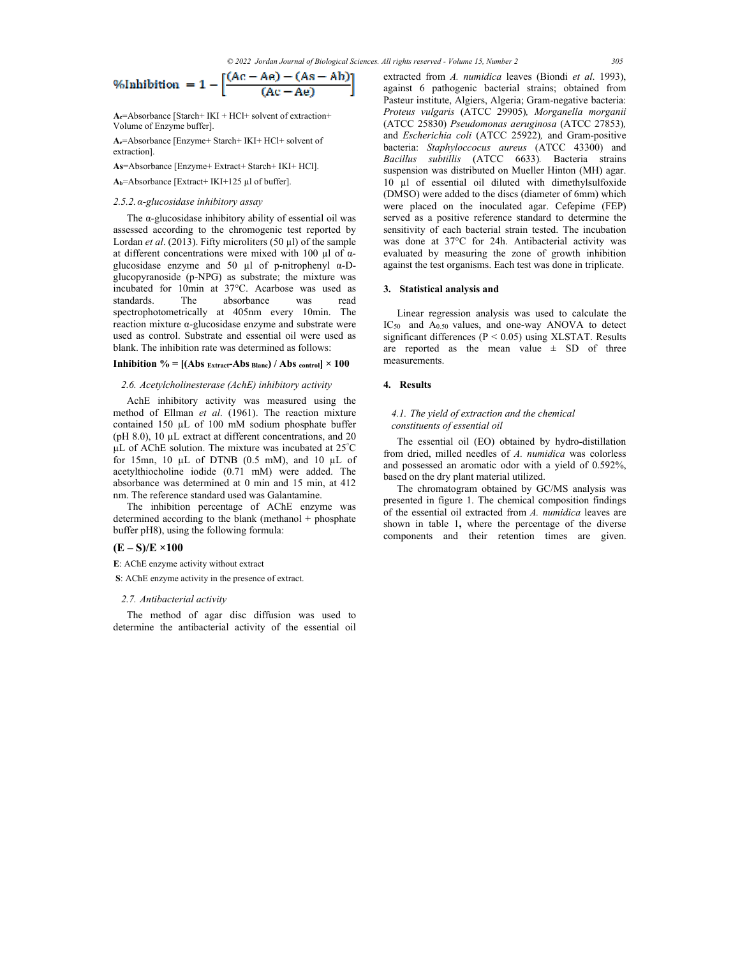$\sim 10^{-1}$ 

$$
\text{MInhibition} = 1 - \left[ \frac{(AC - Ae) - (As - Ab)}{(Ac - Ae)} \right]
$$

 $\mathbf{z} \in \mathbb{R}^{n}$ 

 $\sim$ 

**Ac**=Absorbance [Starch+ IKI + HCl+ solvent of extraction+ Volume of Enzyme buffer].

**Ae**=Absorbance [Enzyme+ Starch+ IKI+ HCl+ solvent of extraction].

**As**=Absorbance [Enzyme+ Extract+ Starch+ IKI+ HCl].

**Ab**=Absorbance [Extract+ IKI+125 µl of buffer].

## *2.5.2.α-glucosidase inhibitory assay*

The  $\alpha$ -glucosidase inhibitory ability of essential oil was assessed according to the chromogenic test reported by Lordan *et al*. (2013). Fifty microliters (50 µl) of the sample at different concentrations were mixed with 100 µl of αglucosidase enzyme and 50  $\mu$ l of p-nitrophenyl  $\alpha$ -Dglucopyranoside (p-NPG) as substrate; the mixture was incubated for 10min at 37°C. Acarbose was used as standards. The absorbance was read spectrophotometrically at 405nm every 10min. The reaction mixture α-glucosidase enzyme and substrate were used as control. Substrate and essential oil were used as blank. The inhibition rate was determined as follows:

## **Inhibition % =**  $[(Abs_{\text{Extract}}-Abs_{\text{Blanc}})/Abs_{\text{control}}] \times 100$

## *2.6. Acetylcholinesterase (AchE) inhibitory activity*

AchE inhibitory activity was measured using the method of Ellman *et al*. (1961). The reaction mixture contained 150 µL of 100 mM sodium phosphate buffer (pH 8.0), 10 µL extract at different concentrations, and 20 µL of AChE solution. The mixture was incubated at 25° C for 15mn, 10 µL of DTNB (0.5 mM), and 10 µL of acetylthiocholine iodide (0.71 mM) were added. The absorbance was determined at 0 min and 15 min, at 412 nm. The reference standard used was Galantamine.

The inhibition percentage of AChE enzyme was determined according to the blank (methanol + phosphate buffer pH8), using the following formula:

## **(E – S)/E ×100**

**E**: AChE enzyme activity without extract

 **S**: AChE enzyme activity in the presence of extract.

#### *2.7. Antibacterial activity*

The method of agar disc diffusion was used to determine the antibacterial activity of the essential oil extracted from *A. numidica* leaves (Biondi *et al*. 1993), against 6 pathogenic bacterial strains; obtained from Pasteur institute, Algiers, Algeria; Gram-negative bacteria: *Proteus vulgaris* (ATCC 29905)*, Morganella morganii*  (ATCC 25830) *Pseudomonas aeruginosa* (ATCC 27853)*,*  and *Escherichia coli* (ATCC 25922)*,* and Gram-positive bacteria: *Staphyloccocus aureus* (ATCC 43300) and *Bacillus subtillis* (ATCC 6633)*.* Bacteria strains suspension was distributed on Mueller Hinton (MH) agar. 10 µl of essential oil diluted with dimethylsulfoxide (DMSO) were added to the discs (diameter of 6mm) which were placed on the inoculated agar. Cefepime (FEP) served as a positive reference standard to determine the sensitivity of each bacterial strain tested. The incubation was done at 37°C for 24h. Antibacterial activity was evaluated by measuring the zone of growth inhibition against the test organisms. Each test was done in triplicate.

#### **3. Statistical analysis and**

Linear regression analysis was used to calculate the IC50 and A0.50 values, and one-way ANOVA to detect significant differences ( $P < 0.05$ ) using XLSTAT. Results are reported as the mean value  $\pm$  SD of three measurements.

## **4. Results**

## *4.1. The yield of extraction and the chemical constituents of essential oil*

The essential oil (EO) obtained by hydro-distillation from dried, milled needles of *A. numidica* was colorless and possessed an aromatic odor with a yield of 0.592%, based on the dry plant material utilized.

The chromatogram obtained by GC/MS analysis was presented in figure 1. The chemical composition findings of the essential oil extracted from *A. numidica* leaves are shown in table 1**,** where the percentage of the diverse components and their retention times are given.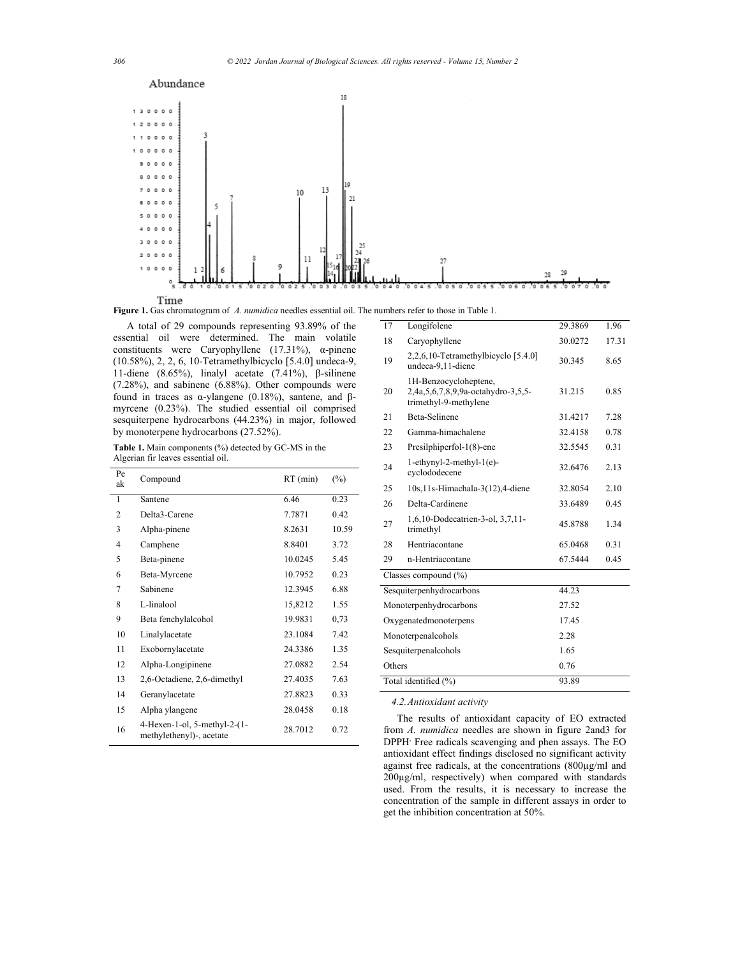

**Figure 1.** Gas chromatogram of *A. numidica* needles essential oil. The numbers refer to those in Table 1.

A total of 29 compounds representing 93.89% of the essential oil were determined. The main volatile constituents were Caryophyllene (17.31%), α-pinene (10.58%), 2, 2, 6, 10-Tetramethylbicyclo [5.4.0] undeca-9, 11-diene (8.65%), linalyl acetate (7.41%), β-silinene (7.28%), and sabinene (6.88%). Other compounds were found in traces as α-ylangene (0.18%), santene, and βmyrcene (0.23%). The studied essential oil comprised sesquiterpene hydrocarbons (44.23%) in major, followed by monoterpene hydrocarbons (27.52%).

**Table 1.** Main components (%) detected by GC-MS in the Algerian fir leaves essential oil.

| Pe<br>ak       | Compound                                                   | $RT$ (min) | $(\%)$ |
|----------------|------------------------------------------------------------|------------|--------|
| 1              | Santene                                                    | 6.46       | 0.23   |
| $\overline{c}$ | Delta3-Carene                                              | 7.7871     | 0.42   |
| 3              | Alpha-pinene                                               | 8.2631     | 10.59  |
| 4              | Camphene                                                   | 8.8401     | 3.72   |
| 5              | Beta-pinene                                                | 10.0245    | 5.45   |
| 6              | Beta-Myrcene                                               | 10.7952    | 0.23   |
| 7              | Sabinene                                                   | 12.3945    | 6.88   |
| 8              | L-linalool                                                 | 15,8212    | 1.55   |
| 9              | Beta fenchylalcohol                                        | 19.9831    | 0,73   |
| 10             | Linalylacetate                                             | 23.1084    | 7.42   |
| 11             | Exobornylacetate                                           | 24.3386    | 1.35   |
| 12             | Alpha-Longipinene                                          | 27.0882    | 2.54   |
| 13             | 2,6-Octadiene, 2,6-dimethyl                                | 27.4035    | 7.63   |
| 14             | Geranylacetate                                             | 27.8823    | 0.33   |
| 15             | Alpha ylangene                                             | 28.0458    | 0.18   |
| 16             | $4-Hexen-1-ol, 5-methyl-2-(1-$<br>methylethenyl)-, acetate | 28.7012    | 0.72   |

| 17                            | Longifolene                                                                          | 29.3869 | 1.96  |
|-------------------------------|--------------------------------------------------------------------------------------|---------|-------|
| 18                            | Caryophyllene                                                                        | 30.0272 | 17.31 |
| 19                            | 2,2,6,10-Tetramethylbicyclo [5.4.0]<br>undeca-9,11-diene                             | 30.345  | 8.65  |
| 20                            | 1H-Benzocycloheptene,<br>2,4a,5,6,7,8,9,9a-octahydro-3,5,5-<br>trimethyl-9-methylene | 31.215  | 0.85  |
| 21                            | Beta-Selinene                                                                        | 31.4217 | 7.28  |
| 22                            | Gamma-himachalene                                                                    | 32.4158 | 0.78  |
| 23                            | Presilphiperfol-1(8)-ene                                                             | 32.5545 | 0.31  |
| 24                            | $1$ -ethynyl-2-methyl- $1(e)$ -<br>cyclododecene                                     | 32.6476 | 2.13  |
| 25                            | 10s, 11s-Himachala-3(12), 4-diene                                                    | 32.8054 | 2.10  |
| 26                            | Delta-Cardinene                                                                      | 33.6489 | 0.45  |
| 27                            | 1,6,10-Dodecatrien-3-ol, 3,7,11-<br>trimethyl                                        | 45.8788 | 1.34  |
| 28                            | Hentriacontane                                                                       | 65.0468 | 0.31  |
| 29                            | n-Hentriacontane                                                                     | 67.5444 | 0.45  |
|                               | Classes compound (%)                                                                 |         |       |
|                               | Sesquiterpenhydrocarbons                                                             | 44.23   |       |
| Monoterpenhydrocarbons        |                                                                                      | 27.52   |       |
| Oxygenatedmonoterpens         |                                                                                      | 17.45   |       |
| Monoterpenalcohols            |                                                                                      | 2.28    |       |
| Sesquiterpenalcohols          |                                                                                      | 1.65    |       |
| Others                        |                                                                                      | 0.76    |       |
| Total identified (%)<br>93.89 |                                                                                      |         |       |

*4.2.Antioxidant activity* 

The results of antioxidant capacity of EO extracted from *A. numidica* needles are shown in figure 2and3 for DPPH**.** Free radicals scavenging and phen assays. The EO antioxidant effect findings disclosed no significant activity against free radicals, at the concentrations (800µg/ml and 200µg/ml, respectively) when compared with standards used. From the results, it is necessary to increase the concentration of the sample in different assays in order to get the inhibition concentration at 50%.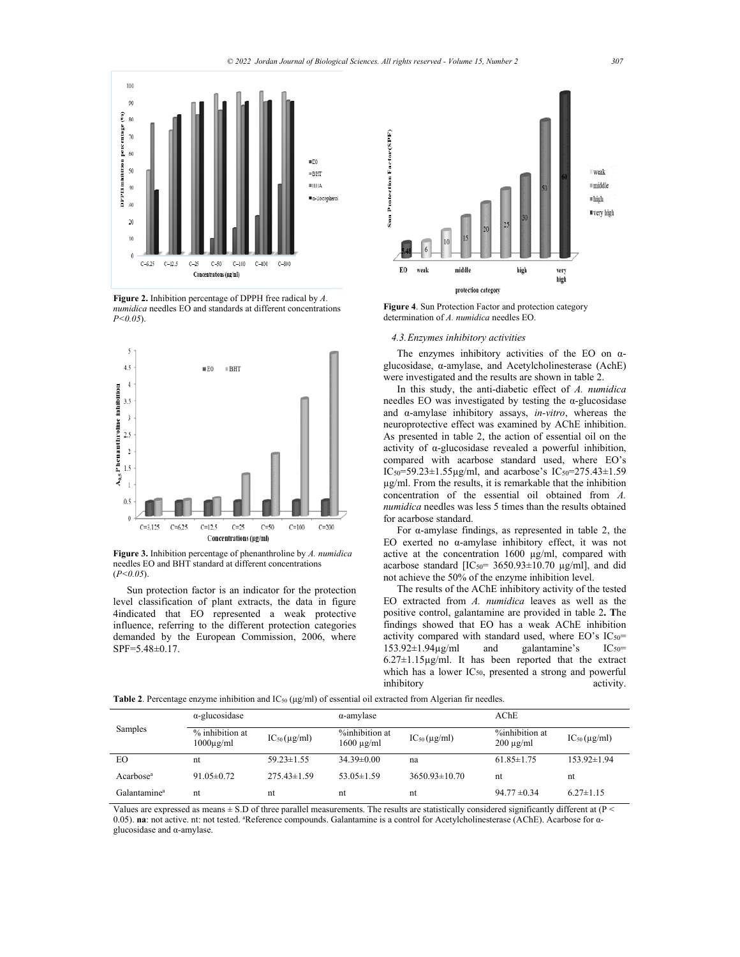

**Figure 2.** Inhibition percentage of DPPH free radical by *A. numidica* needles EO and standards at different concentrations *P<0.05*).



**Figure 3.** Inhibition percentage of phenanthroline by *A. numidica* needles EO and BHT standard at different concentrations (*P<0.05*).

Sun protection factor is an indicator for the protection level classification of plant extracts, the data in figure 4indicated that EO represented a weak protective influence, referring to the different protection categories demanded by the European Commission, 2006, where SPF=5.48±0.17.



**Figure 4**. Sun Protection Factor and protection category determination of *A. numidica* needles EO.

## *4.3.Enzymes inhibitory activities*

The enzymes inhibitory activities of the EO on  $\alpha$ glucosidase, α-amylase, and Acetylcholinesterase (AchE) were investigated and the results are shown in table 2.

In this study, the anti-diabetic effect of *A. numidica* needles EO was investigated by testing the  $\alpha$ -glucosidase and α-amylase inhibitory assays, *in-vitro*, whereas the neuroprotective effect was examined by AChE inhibition. As presented in table 2, the action of essential oil on the activity of α-glucosidase revealed a powerful inhibition, compared with acarbose standard used, where EO's IC50=59.23±1.55µg/ml, and acarbose's IC50=275.43±1.59 µg/ml. From the results, it is remarkable that the inhibition concentration of the essential oil obtained from *A. numidica* needles was less 5 times than the results obtained for acarbose standard.

For  $\alpha$ -amylase findings, as represented in table 2, the EO exerted no α-amylase inhibitory effect, it was not active at the concentration 1600 µg/ml, compared with acarbose standard [IC<sub>50</sub>=  $3650.93 \pm 10.70$  µg/ml], and did not achieve the 50% of the enzyme inhibition level.

The results of the AChE inhibitory activity of the tested EO extracted from *A. numidica* leaves as well as the positive control, galantamine are provided in table 2**. T**he findings showed that EO has a weak AChE inhibition activity compared with standard used, where EO's  $IC_{50}$ =<br>153.92±1.94µg/ml and galantamine's  $IC_{50}$ = 153.92±1.94μg/ml and galantamine's IC<sub>50</sub>=  $6.27 \pm 1.15 \mu g/ml$ . It has been reported that the extract which has a lower IC<sub>50</sub>, presented a strong and powerful inhibitory activity. inhibitory

|                          | $\alpha$ -glucosidase                   |                     | $\alpha$ -amylase                 |                           | AChE                             |                           |
|--------------------------|-----------------------------------------|---------------------|-----------------------------------|---------------------------|----------------------------------|---------------------------|
| Samples                  | % inhibition at<br>$1000\mu\text{g/ml}$ | $IC_{50}(\mu g/ml)$ | %inhibition at<br>$1600 \mu g/ml$ | $IC_{50}(\mu\text{g/ml})$ | %inhibition at<br>$200 \mu g/ml$ | $IC_{50}(\mu\text{g/ml})$ |
| EO                       | nt                                      | $59.23 \pm 1.55$    | $34.39 \pm 0.00$                  | na                        | $61.85 \pm 1.75$                 | $153.92 \pm 1.94$         |
| Acarbose <sup>a</sup>    | $91.05 \pm 0.72$                        | $275.43\pm1.59$     | $53.05 \pm 1.59$                  | $3650.93 \pm 10.70$       | nt                               | nt                        |
| Galantamine <sup>a</sup> | nt                                      | nt                  | nt                                | nt                        | $94.77 \pm 0.34$                 | $6.27 \pm 1.15$           |

**Table 2**. Percentage enzyme inhibition and IC50 (μg/ml) of essential oil extracted from Algerian fir needles.

Values are expressed as means  $\pm$  S.D of three parallel measurements. The results are statistically considered significantly different at (P < 0.05). na: not active. nt: not tested. <sup>a</sup>Reference compounds. Galantamine is a control for Acetylcholinesterase (AChE). Acarbose for αglucosidase and α-amylase.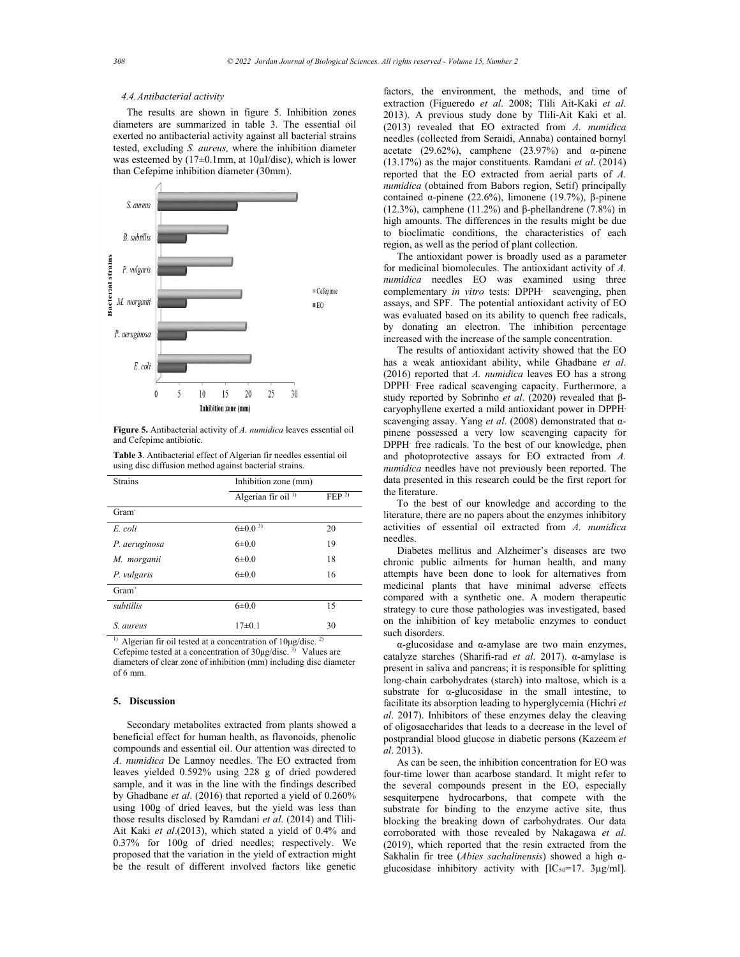## *4.4.Antibacterial activity*

The results are shown in figure 5. Inhibition zones diameters are summarized in table 3. The essential oil exerted no antibacterial activity against all bacterial strains tested, excluding *S. aureus,* where the inhibition diameter was esteemed by (17±0.1mm, at 10µl/disc), which is lower than Cefepime inhibition diameter (30mm).



**Figure 5.** Antibacterial activity of *A. numidica* leaves essential oil and Cefepime antibiotic.

| <b>Table 3.</b> Antibacterial effect of Algerian fir needles essential oil |
|----------------------------------------------------------------------------|
| using disc diffusion method against bacterial strains.                     |

| <b>Strains</b>    | Inhibition zone (mm)                   |                     |  |  |
|-------------------|----------------------------------------|---------------------|--|--|
|                   | Algerian fir oil <sup>1)</sup>         | $FEP$ <sup>2)</sup> |  |  |
| Gram <sup>-</sup> |                                        |                     |  |  |
| E. coli           | $6\pm0.0^{3}$                          | 20                  |  |  |
| P. aeruginosa     | $6 \pm 0.0$                            | 19                  |  |  |
| M. morganii       | $6 \pm 0.0$                            | 18                  |  |  |
| P. vulgaris       | $6 \pm 0.0$                            | 16                  |  |  |
| $Gram+$           |                                        |                     |  |  |
| subtillis         | $6 \pm 0.0$                            | 15                  |  |  |
| S. aureus         | $17\pm0.1$                             | 30                  |  |  |
| $\sim$<br>.       | 1.11<br>and the state<br>$\sim$ $\sim$ | $\mathcal{D}$       |  |  |

<sup>1)</sup> Algerian fir oil tested at a concentration of  $10\mu$ g/disc.<sup>2)</sup> Cefepime tested at a concentration of 30μg/disc. 3) Values are diameters of clear zone of inhibition (mm) including disc diameter of 6 mm.

#### **5. Discussion**

Secondary metabolites extracted from plants showed a beneficial effect for human health, as flavonoids, phenolic compounds and essential oil. Our attention was directed to *A. numidica* De Lannoy needles. The EO extracted from leaves yielded 0.592% using 228 g of dried powdered sample, and it was in the line with the findings described by Ghadbane *et al*. (2016) that reported a yield of 0.260% using 100g of dried leaves, but the yield was less than those results disclosed by Ramdani *et al*. (2014) and Tlili-Ait Kaki *et al*.(2013), which stated a yield of 0.4% and 0.37% for 100g of dried needles; respectively. We proposed that the variation in the yield of extraction might be the result of different involved factors like genetic

factors, the environment, the methods, and time of extraction (Figueredo *et al*. 2008; Tlili Ait-Kaki *et al*. 2013). A previous study done by Tlili-Ait Kaki et al. (2013) revealed that EO extracted from *A. numidica*  needles (collected from Seraidi, Annaba) contained bornyl acetate (29.62%), camphene (23.97%) and  $\alpha$ -pinene (13.17%) as the major constituents. Ramdani *et al*. (2014) reported that the EO extracted from aerial parts of *A. numidica* (obtained from Babors region, Setif) principally contained α-pinene (22.6%), limonene (19.7%), β-pinene (12.3%), camphene (11.2%) and β-phellandrene (7.8%) in high amounts. The differences in the results might be due to bioclimatic conditions, the characteristics of each region, as well as the period of plant collection.

The antioxidant power is broadly used as a parameter for medicinal biomolecules. The antioxidant activity of *A. numidica* needles EO was examined using three complementary *in vitro* tests: DPPH· scavenging, phen assays, and SPF. The potential antioxidant activity of EO was evaluated based on its ability to quench free radicals, by donating an electron. The inhibition percentage increased with the increase of the sample concentration.

The results of antioxidant activity showed that the EO has a weak antioxidant ability, while Ghadbane *et al*. (2016) reported that *A. numidica* leaves EO has a strong DPPH. Free radical scavenging capacity. Furthermore, a study reported by Sobrinho *et al*. (2020) revealed that βcaryophyllene exerted a mild antioxidant power in DPPH. scavenging assay. Yang *et al*. (2008) demonstrated that αpinene possessed a very low scavenging capacity for DPPH. free radicals. To the best of our knowledge, phen and photoprotective assays for EO extracted from *A. numidica* needles have not previously been reported. The data presented in this research could be the first report for the literature.

To the best of our knowledge and according to the literature, there are no papers about the enzymes inhibitory activities of essential oil extracted from *A. numidica* needles.

Diabetes mellitus and Alzheimer's diseases are two chronic public ailments for human health, and many attempts have been done to look for alternatives from medicinal plants that have minimal adverse effects compared with a synthetic one. A modern therapeutic strategy to cure those pathologies was investigated, based on the inhibition of key metabolic enzymes to conduct such disorders.

α-glucosidase and α-amylase are two main enzymes, catalyze starches (Sharifi-rad *et al*. 2017). α-amylase is present in saliva and pancreas; it is responsible for splitting long-chain carbohydrates (starch) into maltose, which is a substrate for α-glucosidase in the small intestine, to facilitate its absorption leading to hyperglycemia (Hichri *et al*. 2017). Inhibitors of these enzymes delay the cleaving of oligosaccharides that leads to a decrease in the level of postprandial blood glucose in diabetic persons (Kazeem *et al*. 2013).

As can be seen, the inhibition concentration for EO was four-time lower than acarbose standard. It might refer to the several compounds present in the EO, especially sesquiterpene hydrocarbons, that compete with the substrate for binding to the enzyme active site, thus blocking the breaking down of carbohydrates. Our data corroborated with those revealed by Nakagawa *et al*. (2019), which reported that the resin extracted from the Sakhalin fir tree (*Abies sachalinensis*) showed a high αglucosidase inhibitory activity with [IC50=17. 3µg/ml].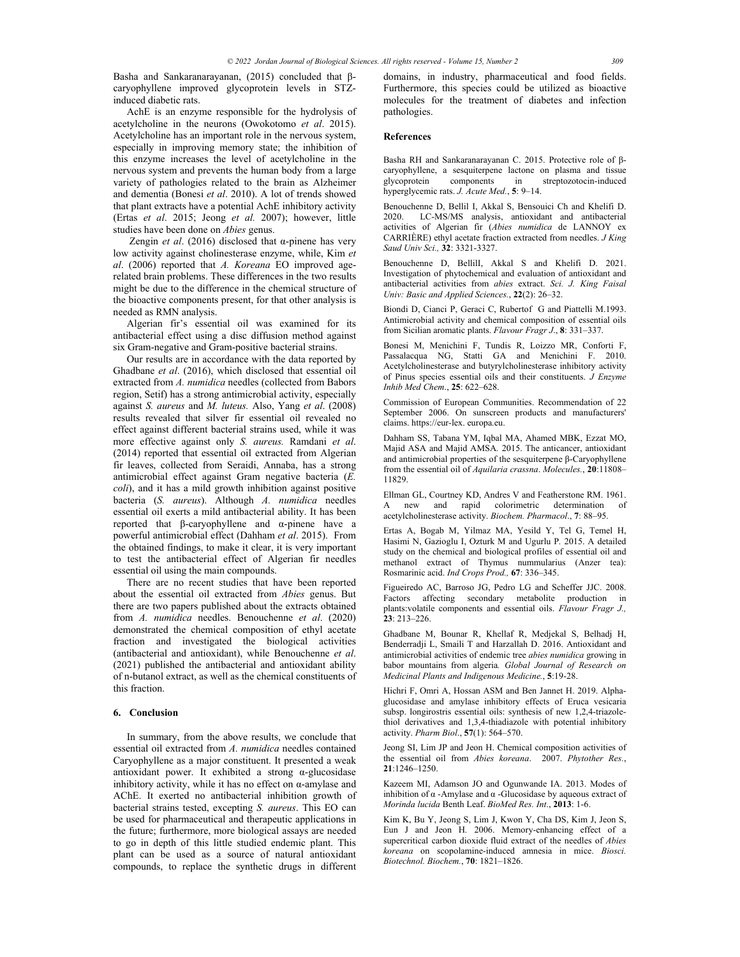Basha and Sankaranarayanan, (2015) concluded that βcaryophyllene improved glycoprotein levels in STZinduced diabetic rats.

AchE is an enzyme responsible for the hydrolysis of acetylcholine in the neurons (Owokotomo *et al*. 2015). Acetylcholine has an important role in the nervous system, especially in improving memory state; the inhibition of this enzyme increases the level of acetylcholine in the nervous system and prevents the human body from a large variety of pathologies related to the brain as Alzheimer and dementia (Bonesi *et al*. 2010). A lot of trends showed that plant extracts have a potential AchE inhibitory activity (Ertas *et al*. 2015; Jeong *et al.* 2007); however, little studies have been done on *Abies* genus.

 Zengin *et al*. (2016) disclosed that α-pinene has very low activity against cholinesterase enzyme, while, Kim *et al*. (2006) reported that *A. Koreana* EO improved agerelated brain problems. These differences in the two results might be due to the difference in the chemical structure of the bioactive components present, for that other analysis is needed as RMN analysis.

Algerian fir's essential oil was examined for its antibacterial effect using a disc diffusion method against six Gram-negative and Gram-positive bacterial strains.

Our results are in accordance with the data reported by Ghadbane *et al*. (2016), which disclosed that essential oil extracted from *A. numidica* needles (collected from Babors region, Setif) has a strong antimicrobial activity, especially against *S. aureus* and *M. luteus.* Also, Yang *et al*. (2008) results revealed that silver fir essential oil revealed no effect against different bacterial strains used, while it was more effective against only *S. aureus.* Ramdani *et al*. (2014) reported that essential oil extracted from Algerian fir leaves, collected from Seraidi, Annaba, has a strong antimicrobial effect against Gram negative bacteria (*E. coli*), and it has a mild growth inhibition against positive bacteria (*S. aureus*). Although *A. numidica* needles essential oil exerts a mild antibacterial ability. It has been reported that β-caryophyllene and α-pinene have a powerful antimicrobial effect (Dahham *et al*. 2015). From the obtained findings, to make it clear, it is very important to test the antibacterial effect of Algerian fir needles essential oil using the main compounds.

There are no recent studies that have been reported about the essential oil extracted from *Abies* genus. But there are two papers published about the extracts obtained from *A. numidica* needles. Benouchenne *et al*. (2020) demonstrated the chemical composition of ethyl acetate fraction and investigated the biological activities (antibacterial and antioxidant), while Benouchenne *et al*. (2021) published the antibacterial and antioxidant ability of n-butanol extract, as well as the chemical constituents of this fraction.

# **6. Conclusion**

In summary, from the above results, we conclude that essential oil extracted from *A. numidica* needles contained Caryophyllene as a major constituent. It presented a weak antioxidant power. It exhibited a strong α-glucosidase inhibitory activity, while it has no effect on α-amylase and AChE. It exerted no antibacterial inhibition growth of bacterial strains tested, excepting *S. aureus*. This EO can be used for pharmaceutical and therapeutic applications in the future; furthermore, more biological assays are needed to go in depth of this little studied endemic plant. This plant can be used as a source of natural antioxidant compounds, to replace the synthetic drugs in different domains, in industry, pharmaceutical and food fields. Furthermore, this species could be utilized as bioactive molecules for the treatment of diabetes and infection pathologies.

#### **References**

Basha RH and Sankaranarayanan C. 2015. Protective role of βcaryophyllene, a sesquiterpene lactone on plasma and tissue glycoprotein components in streptozotocin-induced hyperglycemic rats. *J. Acute Med.*, **5**: 9–14.

Benouchenne D, Bellil I, Akkal S, Bensouici Ch and Khelifi D. 2020. LC-MS/MS analysis, antioxidant and antibacterial activities of Algerian fir (*Abies numidica* de LANNOY ex CARRIÈRE) ethyl acetate fraction extracted from needles. *J King Saud Univ Sci.,* **32**: 3321-3327.

Benouchenne D, BellilI, Akkal S and Khelifi D. 2021. Investigation of phytochemical and evaluation of antioxidant and antibacterial activities from *abies* extract. *Sci. J. King Faisal Univ: Basic and Applied Sciences.*, **22**(2): 26–32.

Biondi D, Cianci P, Geraci C, Rubertof G and Piattelli M.1993. Antimicrobial activity and chemical composition of essential oils from Sicilian aromatic plants. *Flavour Fragr J*., **8**: 331–337.

Bonesi M, Menichini F, Tundis R, Loizzo MR, Conforti F, Passalacqua NG, Statti GA and Menichini F. 2010. Acetylcholinesterase and butyrylcholinesterase inhibitory activity of Pinus species essential oils and their constituents. *J Enzyme Inhib Med Chem*., **25**: 622–628.

Commission of European Communities. Recommendation of 22 September 2006. On sunscreen products and manufacturers' claims. https://eur-lex. europa.eu.

Dahham SS, Tabana YM, Iqbal MA, Ahamed MBK, Ezzat MO, Majid ASA and Majid AMSA*.* 2015. The anticancer, antioxidant and antimicrobial properties of the sesquiterpene β-Caryophyllene from the essential oil of *Aquilaria crassna*. *Molecules.*, **20**:11808– 11829.

Ellman GL, Courtney KD, Andres V and Featherstone RM. 1961. A new and rapid colorimetric determination of acetylcholinesterase activity. *Biochem. Pharmacol*., **7**: 88–95.

Ertas A, Bogab M, Yilmaz MA, Yesild Y, Tel G, Temel H, Hasimi N, Gazioglu I, Ozturk M and Ugurlu P*.* 2015. A detailed study on the chemical and biological profiles of essential oil and methanol extract of Thymus nummularius (Anzer tea): Rosmarinic acid. *Ind Crops Prod.,* **67**: 336–345.

Figueiredo AC, Barroso JG, Pedro LG and Scheffer JJC. 2008. Factors affecting secondary metabolite production in plants:volatile components and essential oils. *Flavour Fragr J.,*  **23**: 213–226.

Ghadbane M, Bounar R, Khellaf R, Medjekal S, Belhadj H, Benderradji L, Smaili T and Harzallah D. 2016. Antioxidant and antimicrobial activities of endemic tree *abies numidica* growing in babor mountains from algeria*. Global Journal of Research on Medicinal Plants and Indigenous Medicine.*, **5**:19-28.

Hichri F, Omri A, Hossan ASM and Ben Jannet H. 2019. Alphaglucosidase and amylase inhibitory effects of Eruca vesicaria subsp. longirostris essential oils: synthesis of new 1,2,4-triazolethiol derivatives and 1,3,4-thiadiazole with potential inhibitory activity. *Pharm Biol*., **57**(1): 564–570.

Jeong SI, Lim JP and Jeon H. Chemical composition activities of the essential oil from *Abies koreana*. 2007. *Phytother Res.*, **21**:1246–1250.

Kazeem MI, Adamson JO and Ogunwande IA. 2013. Modes of inhibition of  $\alpha$  -Amylase and  $\alpha$  -Glucosidase by aqueous extract of *Morinda lucida* Benth Leaf. *BioMed Res. Int*., **2013**: 1-6.

Kim K, Bu Y, Jeong S, Lim J, Kwon Y, Cha DS, Kim J, Jeon S, Eun J and Jeon H*.* 2006. Memory-enhancing effect of a supercritical carbon dioxide fluid extract of the needles of *Abies koreana* on scopolamine-induced amnesia in mice. *Biosci. Biotechnol. Biochem.*, **70**: 1821–1826.